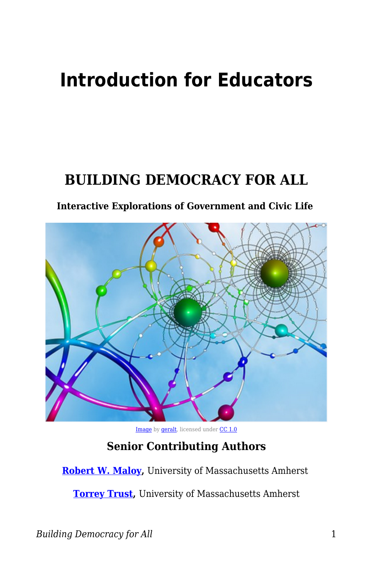# **Introduction for Educators**

### **BUILDING DEMOCRACY FOR ALL**

#### **Interactive Explorations of Government and Civic Life**



[Image](https://pixabay.com/illustrations/web-networking-networked-digital-92904/) by [geralt,](https://pixabay.com/users/geralt-9301/) licensed under [CC 1.0](https://creativecommons.org/publicdomain/zero/1.0/deed.en)

#### **Senior Contributing Authors**

**[Robert W. Maloy](https://www.umass.edu/education/people/robert-maloy),** University of Massachusetts Amherst

**[Torrey Trust](https://www.umass.edu/education/people/torrey-trust),** University of Massachusetts Amherst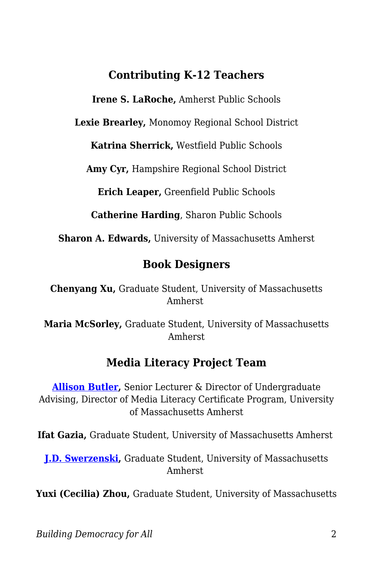#### **Contributing K-12 Teachers**

**Irene S. LaRoche,** Amherst Public Schools

**Lexie Brearley,** Monomoy Regional School District

**Katrina Sherrick,** Westfield Public Schools

**Amy Cyr,** Hampshire Regional School District

**Erich Leaper,** Greenfield Public Schools

**Catherine Harding**, Sharon Public Schools

**Sharon A. Edwards,** University of Massachusetts Amherst

#### **Book Designers**

**Chenyang Xu,** Graduate Student, University of Massachusetts Amherst

**Maria McSorley,** Graduate Student, University of Massachusetts Amherst

#### **Media Literacy Project Team**

**[Allison Butler,](https://www.umass.edu/communication/people/profile/allison-butler)** Senior Lecturer & Director of Undergraduate Advising, Director of Media Literacy Certificate Program, University of Massachusetts Amherst

**Ifat Gazia,** Graduate Student, University of Massachusetts Amherst

**[J.D. Swerzenski,](https://www.umass.edu/communication/node/1983)** Graduate Student, University of Massachusetts Amherst

**Yuxi (Cecilia) Zhou,** Graduate Student, University of Massachusetts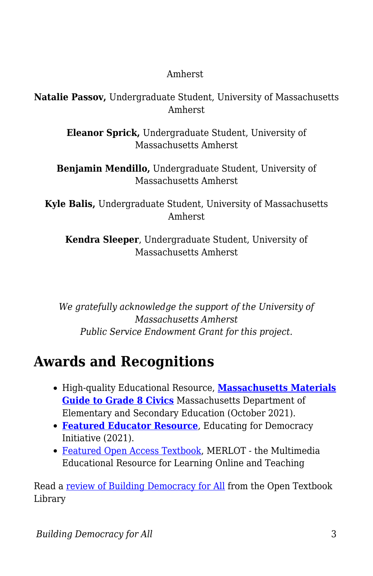#### Amherst

**Natalie Passov,** Undergraduate Student, University of Massachusetts Amherst

> **Eleanor Sprick,** Undergraduate Student, University of Massachusetts Amherst

**Benjamin Mendillo,** Undergraduate Student, University of Massachusetts Amherst

**Kyle Balis,** Undergraduate Student, University of Massachusetts Amherst

**Kendra Sleeper**, Undergraduate Student, University of Massachusetts Amherst

*We gratefully acknowledge the support of the University of Massachusetts Amherst Public Service Endowment Grant for this project.*

## **Awards and Recognitions**

- High-quality Educational Resource, **[Massachusetts Materials](https://www.doe.mass.edu/instruction/hss/grade-8-civics/index.html#/) [Guide to Grade 8 Civics](https://www.doe.mass.edu/instruction/hss/grade-8-civics/index.html#/)** Massachusetts Department of Elementary and Secondary Education (October 2021).
- **[Featured Educator Resource](https://www.educatingforamericandemocracy.org/educator-resources/?sword=#popup-ead-post-6994)**, Educating for Democracy Initiative (2021).
- [Featured Open Access Textbook,](https://www.merlot.org/merlot/viewMaterial.htm?id=773409766) MERLOT the Multimedia Educational Resource for Learning Online and Teaching

Read a [review of Building Democracy for All](https://open.umn.edu/opentextbooks/textbooks/1039) from the Open Textbook Library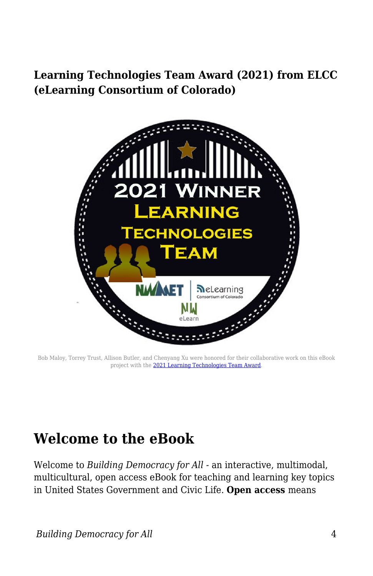#### **Learning Technologies Team Award (2021) from ELCC (eLearning Consortium of Colorado)**



Bob Maloy, Torrey Trust, Allison Butler, and Chenyang Xu were honored for their collaborative work on this eBook project with the [2021 Learning Technologies Team Award.](http://www.elearningcolorado.org/awards-2021.html)

### **Welcome to the eBook**

Welcome to *Building Democracy for All -* an interactive, multimodal, multicultural, open access eBook for teaching and learning key topics in United States Government and Civic Life. **Open access** means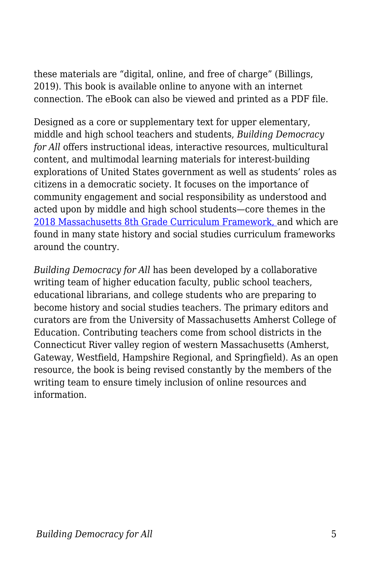these materials are "digital, online, and free of charge" (Billings, 2019). This book is available online to anyone with an internet connection. The eBook can also be viewed and printed as a PDF file.

Designed as a core or supplementary text for upper elementary, middle and high school teachers and students, *Building Democracy for All* offers instructional ideas, interactive resources, multicultural content, and multimodal learning materials for interest-building explorations of United States government as well as students' roles as citizens in a democratic society. It focuses on the importance of community engagement and social responsibility as understood and acted upon by middle and high school students—core themes in the [2018 Massachusetts 8th Grade Curriculum Framework,](http://www.doe.mass.edu/frameworks/current.html) and which are found in many state history and social studies curriculum frameworks around the country.

*Building Democracy for All* has been developed by a collaborative writing team of higher education faculty, public school teachers, educational librarians, and college students who are preparing to become history and social studies teachers. The primary editors and curators are from the University of Massachusetts Amherst College of Education. Contributing teachers come from school districts in the Connecticut River valley region of western Massachusetts (Amherst, Gateway, Westfield, Hampshire Regional, and Springfield). As an open resource, the book is being revised constantly by the members of the writing team to ensure timely inclusion of online resources and information.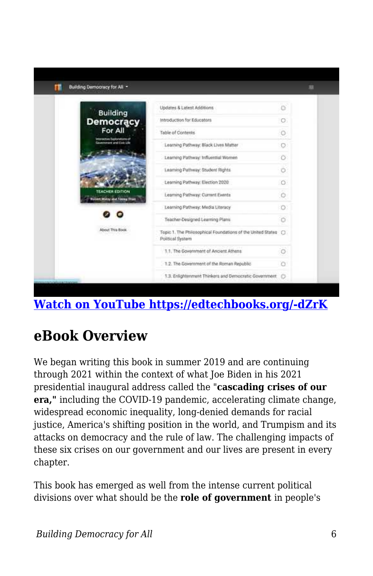

### **[Watch on YouTube https://edtechbooks.org/-dZrK](https://www.youtube.com/embed/DSoADn1anpw?autoplay=1&rel=0&showinfo=0&modestbranding=1)**

### **eBook Overview**

We began writing this book in summer 2019 and are continuing through 2021 within the context of what Joe Biden in his 2021 presidential inaugural address called the "**cascading crises of our era,"** including the COVID-19 pandemic, accelerating climate change, widespread economic inequality, long-denied demands for racial justice, America's shifting position in the world, and Trumpism and its attacks on democracy and the rule of law. The challenging impacts of these six crises on our government and our lives are present in every chapter.

This book has emerged as well from the intense current political divisions over what should be the **role of government** in people's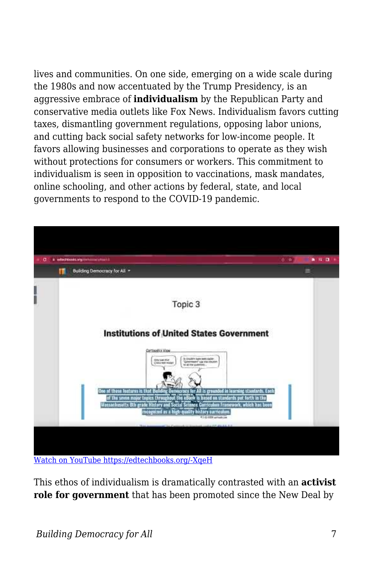lives and communities. On one side, emerging on a wide scale during the 1980s and now accentuated by the Trump Presidency, is an aggressive embrace of **individualism** by the Republican Party and conservative media outlets like Fox News. Individualism favors cutting taxes, dismantling government regulations, opposing labor unions, and cutting back social safety networks for low-income people. It favors allowing businesses and corporations to operate as they wish without protections for consumers or workers. This commitment to individualism is seen in opposition to vaccinations, mask mandates, online schooling, and other actions by federal, state, and local governments to respond to the COVID-19 pandemic.



[Watch on YouTube https://edtechbooks.org/-XqeH](https://www.youtube.com/embed/pRT5VyjOu1M?autoplay=1&rel=0&showinfo=0&modestbranding=1)

This ethos of individualism is dramatically contrasted with an **activist role for government** that has been promoted since the New Deal by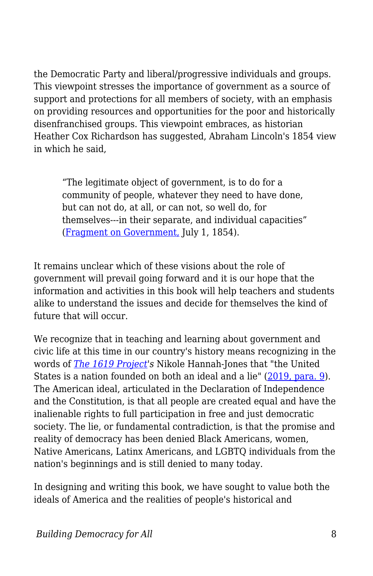the Democratic Party and liberal/progressive individuals and groups. This viewpoint stresses the importance of government as a source of support and protections for all members of society, with an emphasis on providing resources and opportunities for the poor and historically disenfranchised groups. This viewpoint embraces, as historian Heather Cox Richardson has suggested, Abraham Lincoln's 1854 view in which he said,

"The legitimate object of government, is to do for a community of people, whatever they need to have done, but can not do, at all, or can not, so well do, for themselves---in their separate, and individual capacities" ([Fragment on Government,](https://housedivided.dickinson.edu/sites/lincoln/fragment-on-government-july-1-1854/) July 1, 1854).

It remains unclear which of these visions about the role of government will prevail going forward and it is our hope that the information and activities in this book will help teachers and students alike to understand the issues and decide for themselves the kind of future that will occur.

We recognize that in teaching and learning about government and civic life at this time in our country's history means recognizing in the words of *[The 1619 Project](https://www.nytimes.com/interactive/2019/08/14/magazine/1619-america-slavery.html)'s* Nikole Hannah-Jones that "the United States is a nation founded on both an ideal and a lie" [\(2019, para. 9\)](https://www.nytimes.com/interactive/2019/08/14/magazine/black-history-american-democracy.html). The American ideal, articulated in the Declaration of Independence and the Constitution, is that all people are created equal and have the inalienable rights to full participation in free and just democratic society. The lie, or fundamental contradiction, is that the promise and reality of democracy has been denied Black Americans, women, Native Americans, Latinx Americans, and LGBTQ individuals from the nation's beginnings and is still denied to many today.

In designing and writing this book, we have sought to value both the ideals of America and the realities of people's historical and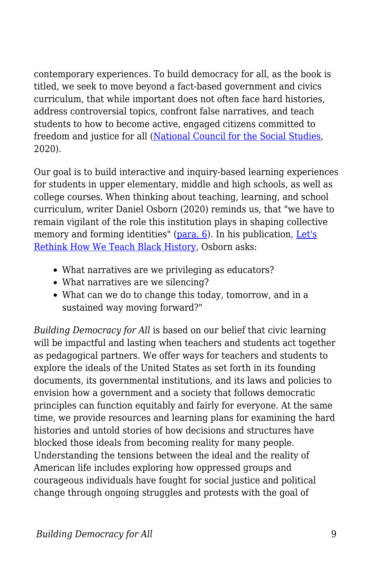contemporary experiences. To build democracy for all, as the book is titled, we seek to move beyond a fact-based government and civics curriculum, that while important does not often face hard histories, address controversial topics, confront false narratives, and teach students to how to become active, engaged citizens committed to freedom and justice for all ([National Council for the Social Studies,](https://mail.google.com/mail/u/0/#search/national+council+/FMfcgxwJWrZSkLvBTJFqSqcmbwMFhGKl) 2020).

Our goal is to build interactive and inquiry-based learning experiences for students in upper elementary, middle and high schools, as well as college courses. When thinking about teaching, learning, and school curriculum, writer Daniel Osborn (2020) reminds us, that "we have to remain vigilant of the role this institution plays in shaping collective memory and forming identities" ([para. 6](https://masshumanities.org/lets-rethink-how-we-teach-black-history/)). In his publication, [Let's](https://masshumanities.org/lets-rethink-how-we-teach-black-history/?utm_source=Mass+Humanities+Email&utm_campaign=4fda0d6fe7-EMAIL_CAMPAIGN_2019_01_31_07_42_COPY_01&utm_medium=email&utm_term=0_36e0b33628-4fda0d6fe7-338407113&utm_source=eHistory+News+July+15&utm_campaign=Emerging+E+news+July+15&utm_medium=email) [Rethink How We Teach Black History](https://masshumanities.org/lets-rethink-how-we-teach-black-history/?utm_source=Mass+Humanities+Email&utm_campaign=4fda0d6fe7-EMAIL_CAMPAIGN_2019_01_31_07_42_COPY_01&utm_medium=email&utm_term=0_36e0b33628-4fda0d6fe7-338407113&utm_source=eHistory+News+July+15&utm_campaign=Emerging+E+news+July+15&utm_medium=email), Osborn asks:

- What narratives are we privileging as educators?
- What narratives are we silencing?
- What can we do to change this today, tomorrow, and in a sustained way moving forward?"

*Building Democracy for All* is based on our belief that civic learning will be impactful and lasting when teachers and students act together as pedagogical partners. We offer ways for teachers and students to explore the ideals of the United States as set forth in its founding documents, its governmental institutions, and its laws and policies to envision how a government and a society that follows democratic principles can function equitably and fairly for everyone. At the same time, we provide resources and learning plans for examining the hard histories and untold stories of how decisions and structures have blocked those ideals from becoming reality for many people. Understanding the tensions between the ideal and the reality of American life includes exploring how oppressed groups and courageous individuals have fought for social justice and political change through ongoing struggles and protests with the goal of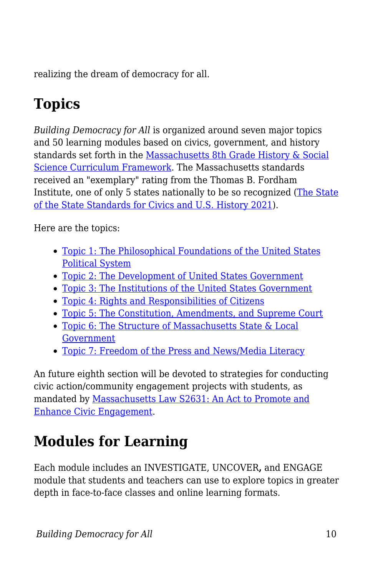realizing the dream of democracy for all.

# **Topics**

*Building Democracy for All* is organized around seven major topics and 50 learning modules based on civics, government, and history standards set forth in the [Massachusetts 8th Grade History & Social](http://www.doe.mass.edu/frameworks/hss/2018-12.pdf) [Science Curriculum Framework](http://www.doe.mass.edu/frameworks/hss/2018-12.pdf). The Massachusetts standards received an "exemplary" rating from the Thomas B. Fordham Institute, one of only 5 states nationally to be so recognized [\(The State](https://fordhaminstitute.org/national/research/state-state-standards-civics-and-us-history-2021) [of the State Standards for Civics and U.S. History 2021](https://fordhaminstitute.org/national/research/state-state-standards-civics-and-us-history-2021)).

Here are the topics:

- [Topic 1: The Philosophical Foundations of the United States](https://edtechbooks.org/democracy/topic1) [Political System](https://edtechbooks.org/democracy/topic1)
- [Topic 2: The Development of United States Government](https://edtechbooks.org/democracy/topic2)
- [Topic 3: The Institutions of the United States Government](https://edtechbooks.org/democracy/topic3)
- [Topic 4: Rights and Responsibilities of Citizens](https://edtechbooks.org/democracy/topic4)
- [Topic 5: The Constitution, Amendments, and Supreme Court](https://edtechbooks.org/democracy/topic5)
- [Topic 6: The Structure of Massachusetts State & Local](https://edtechbooks.org/democracy/topic6) [Government](https://edtechbooks.org/democracy/topic6)
- [Topic 7: Freedom of the Press and News/Media Literacy](https://edtechbooks.org/democracy/topic7)

An future eighth section will be devoted to strategies for conducting civic action/community engagement projects with students, as mandated by [Massachusetts Law S2631: An Act to Promote and](https://malegislature.gov/Bills/190/S2631) [Enhance Civic Engagement](https://malegislature.gov/Bills/190/S2631).

# **Modules for Learning**

Each module includes an INVESTIGATE, UNCOVER**,** and ENGAGE module that students and teachers can use to explore topics in greater depth in face-to-face classes and online learning formats.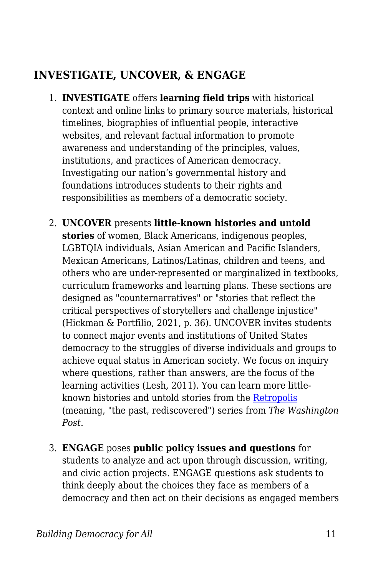#### **INVESTIGATE, UNCOVER, & ENGAGE**

- 1. **INVESTIGATE** offers **learning field trips** with historical context and online links to primary source materials, historical timelines, biographies of influential people, interactive websites, and relevant factual information to promote awareness and understanding of the principles, values, institutions, and practices of American democracy. Investigating our nation's governmental history and foundations introduces students to their rights and responsibilities as members of a democratic society.
- 2. **UNCOVER** presents **little-known histories and untold stories** of women, Black Americans, indigenous peoples, LGBTQIA individuals, Asian American and Pacific Islanders, Mexican Americans, Latinos/Latinas, children and teens, and others who are under-represented or marginalized in textbooks, curriculum frameworks and learning plans. These sections are designed as "counternarratives" or "stories that reflect the critical perspectives of storytellers and challenge injustice" (Hickman & Portfilio, 2021, p. 36). UNCOVER invites students to connect major events and institutions of United States democracy to the struggles of diverse individuals and groups to achieve equal status in American society. We focus on inquiry where questions, rather than answers, are the focus of the learning activities (Lesh, 2011). You can learn more littleknown histories and untold stories from the [Retropolis](https://www.washingtonpost.com/news/retropolis/) (meaning, "the past, rediscovered") series from *The Washington Post*.
- 3. **ENGAGE** poses **public policy issues and questions** for students to analyze and act upon through discussion, writing, and civic action projects. ENGAGE questions ask students to think deeply about the choices they face as members of a democracy and then act on their decisions as engaged members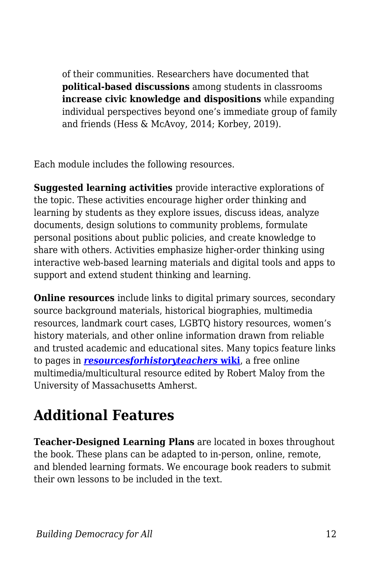of their communities. Researchers have documented that **political-based discussions** among students in classrooms **increase civic knowledge and dispositions** while expanding individual perspectives beyond one's immediate group of family and friends (Hess & McAvoy, 2014; Korbey, 2019).

Each module includes the following resources.

**Suggested learning activities** provide interactive explorations of the topic. These activities encourage higher order thinking and learning by students as they explore issues, discuss ideas, analyze documents, design solutions to community problems, formulate personal positions about public policies, and create knowledge to share with others. Activities emphasize higher-order thinking using interactive web-based learning materials and digital tools and apps to support and extend student thinking and learning.

**Online resources** include links to digital primary sources, secondary source background materials, historical biographies, multimedia resources, landmark court cases, LGBTQ history resources, women's history materials, and other online information drawn from reliable and trusted academic and educational sites. Many topics feature links to pages in *[resourcesforhistoryteachers](http://resourcesforhistoryteachers.pbworks.com/w/page/123820173/FrontPage)* **[wiki](http://resourcesforhistoryteachers.pbworks.com/w/page/123820173/FrontPage)**, a free online multimedia/multicultural resource edited by Robert Maloy from the University of Massachusetts Amherst.

# **Additional Features**

**Teacher-Designed Learning Plans** are located in boxes throughout the book. These plans can be adapted to in-person, online, remote, and blended learning formats. We encourage book readers to submit their own lessons to be included in the text.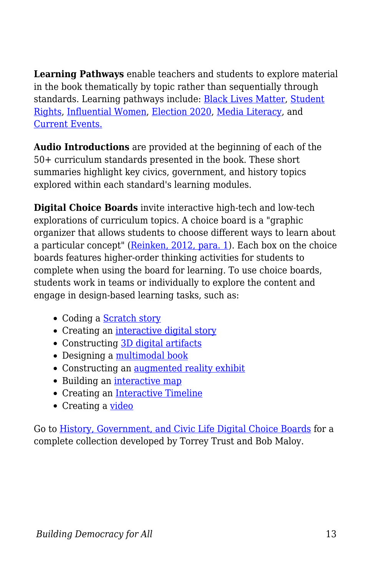**Learning Pathways** enable teachers and students to explore material in the book thematically by topic rather than sequentially through standards. Learning pathways include: [Black Lives Matter,](https://edtechbooks.org/democracy/pathwayBLM) [Student](https://edtechbooks.org/democracy/pathwaystudent) [Rights](https://edtechbooks.org/democracy/pathwaystudent), [Influential Women,](https://edtechbooks.org/democracy/pathwaywomen) [Election 2020,](https://edtechbooks.org/democracy/pathwayelection) [Media Literacy](https://edtechbooks.org/democracy/medialit), and [Current Events.](https://edtechbooks.org/democracy/pathwaycurrent)

**Audio Introductions** are provided at the beginning of each of the 50+ curriculum standards presented in the book. These short summaries highlight key civics, government, and history topics explored within each standard's learning modules.

**Digital Choice Boards** invite interactive high-tech and low-tech explorations of curriculum topics. A choice board is a "graphic organizer that allows students to choose different ways to learn about a particular concept" ([Reinken, 2012, para. 1\)](https://theartofeducation.edu/2012/07/11/how-to-use-choice-boards-to-differentiate-learning/). Each box on the choice boards features higher-order thinking activities for students to complete when using the board for learning. To use choice boards, students work in teams or individually to explore the content and engage in design-based learning tasks, such as:

- Coding a [Scratch story](https://blogs.umass.edu/onlinetools/learner-centered-tools/scratch/)
- Creating an [interactive digital story](https://blogs.umass.edu/onlinetools/knowledge-centered-tools/knight-lab-online-storytelling-tools/)
- Constructing [3D digital artifacts](https://www.tinkercad.com/)
- Designing a [multimodal book](https://blogs.umass.edu/onlinetools/learner-centered-tools/book-creator/)
- Constructing an [augmented reality exhibit](https://cahokiamounds.org/augmented-reality-project/)
- Building an [interactive map](https://www.freetech4teachers.com/search/label/digital%20mapping)
- Creating an [Interactive Timeline](https://timeline.knightlab.com/)
- Creating a [video](https://spark.adobe.com/sp/)

Go to [History, Government, and Civic Life Digital Choice Boards](https://wakelet.com/wake/WW074gsHrzT5-_0roFFwI) for a complete collection developed by Torrey Trust and Bob Maloy.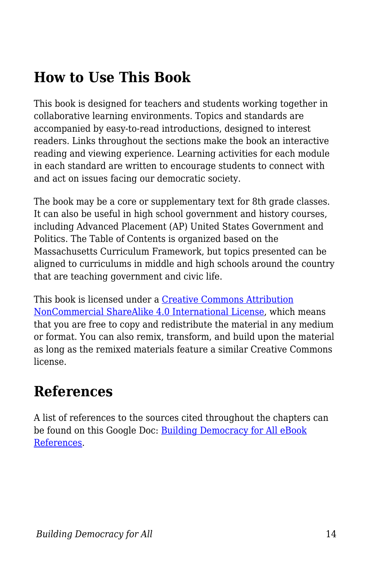## **How to Use This Book**

This book is designed for teachers and students working together in collaborative learning environments. Topics and standards are accompanied by easy-to-read introductions, designed to interest readers. Links throughout the sections make the book an interactive reading and viewing experience. Learning activities for each module in each standard are written to encourage students to connect with and act on issues facing our democratic society.

The book may be a core or supplementary text for 8th grade classes. It can also be useful in high school government and history courses, including Advanced Placement (AP) United States Government and Politics. The Table of Contents is organized based on the Massachusetts Curriculum Framework, but topics presented can be aligned to curriculums in middle and high schools around the country that are teaching government and civic life.

This book is licensed under a [Creative Commons Attribution](https://creativecommons.org/licenses/by-nc-sa/4.0/) [NonCommercial ShareAlike 4.0 International License,](https://creativecommons.org/licenses/by-nc-sa/4.0/) which means that you are free to copy and redistribute the material in any medium or format. You can also remix, transform, and build upon the material as long as the remixed materials feature a similar Creative Commons license.

## **References**

A list of references to the sources cited throughout the chapters can be found on this Google Doc: [Building Democracy for All eBook](https://docs.google.com/document/d/1Lv364YvOVgL0AgNZa91KMe_0NrjLWG6QztIH9f6pyYo/edit?usp=sharing) [References](https://docs.google.com/document/d/1Lv364YvOVgL0AgNZa91KMe_0NrjLWG6QztIH9f6pyYo/edit?usp=sharing).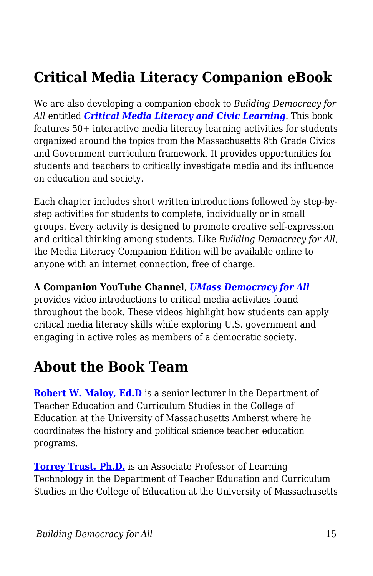## **Critical Media Literacy Companion eBook**

We are also developing a companion ebook to *Building Democracy for All* entitled *[Critical Media Literacy and Civic Learning](https://edtechbooks.org/mediaandciviclearning)*. This book features 50+ interactive media literacy learning activities for students organized around the topics from the Massachusetts 8th Grade Civics and Government curriculum framework. It provides opportunities for students and teachers to critically investigate media and its influence on education and society.

Each chapter includes short written introductions followed by step-bystep activities for students to complete, individually or in small groups. Every activity is designed to promote creative self-expression and critical thinking among students. Like *Building Democracy for All*, the Media Literacy Companion Edition will be available online to anyone with an internet connection, free of charge.

#### **A Companion YouTube Channel**, *[UMass Democracy for All](https://www.youtube.com/channel/UCCQ4OTB9_VyHdfESAaWLgCQ)*

provides video introductions to critical media activities found throughout the book. These videos highlight how students can apply critical media literacy skills while exploring U.S. government and engaging in active roles as members of a democratic society.

### **About the Book Team**

**[Robert W. Maloy, Ed.D](https://www.umass.edu/education/people/robert-maloy)** is a senior lecturer in the Department of Teacher Education and Curriculum Studies in the College of Education at the University of Massachusetts Amherst where he coordinates the history and political science teacher education programs.

**[Torrey Trust, Ph.D.](http://www.torreytrust.com)** is an Associate Professor of Learning Technology in the Department of Teacher Education and Curriculum Studies in the College of Education at the University of Massachusetts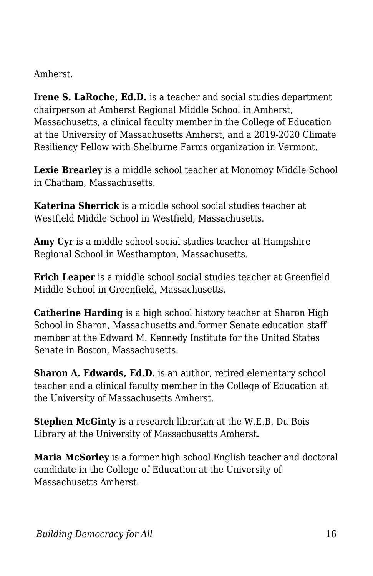Amherst.

**Irene S. LaRoche, Ed.D.** is a teacher and social studies department chairperson at Amherst Regional Middle School in Amherst, Massachusetts, a clinical faculty member in the College of Education at the University of Massachusetts Amherst, and a 2019-2020 Climate Resiliency Fellow with Shelburne Farms organization in Vermont.

**Lexie Brearley** is a middle school teacher at Monomoy Middle School in Chatham, Massachusetts.

**Katerina Sherrick** is a middle school social studies teacher at Westfield Middle School in Westfield, Massachusetts.

**Amy Cyr** is a middle school social studies teacher at Hampshire Regional School in Westhampton, Massachusetts.

**Erich Leaper** is a middle school social studies teacher at Greenfield Middle School in Greenfield, Massachusetts.

**Catherine Harding** is a high school history teacher at Sharon High School in Sharon, Massachusetts and former Senate education staff member at the Edward M. Kennedy Institute for the United States Senate in Boston, Massachusetts.

**Sharon A. Edwards, Ed.D.** is an author, retired elementary school teacher and a clinical faculty member in the College of Education at the University of Massachusetts Amherst.

**Stephen McGinty** is a research librarian at the W.E.B. Du Bois Library at the University of Massachusetts Amherst.

**Maria McSorley** is a former high school English teacher and doctoral candidate in the College of Education at the University of Massachusetts Amherst.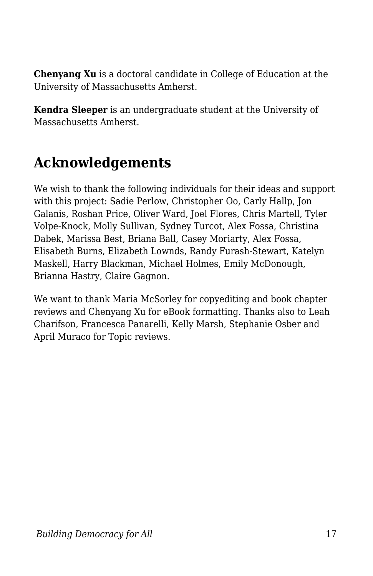**Chenyang Xu** is a doctoral candidate in College of Education at the University of Massachusetts Amherst.

**Kendra Sleeper** is an undergraduate student at the University of Massachusetts Amherst.

## **Acknowledgements**

We wish to thank the following individuals for their ideas and support with this project: Sadie Perlow, Christopher Oo, Carly Hallp, Jon Galanis, Roshan Price, Oliver Ward, Joel Flores, Chris Martell, Tyler Volpe-Knock, Molly Sullivan, Sydney Turcot, Alex Fossa, Christina Dabek, Marissa Best, Briana Ball, Casey Moriarty, Alex Fossa, Elisabeth Burns, Elizabeth Lownds, Randy Furash-Stewart, Katelyn Maskell, Harry Blackman, Michael Holmes, Emily McDonough, Brianna Hastry, Claire Gagnon.

We want to thank Maria McSorley for copyediting and book chapter reviews and Chenyang Xu for eBook formatting. Thanks also to Leah Charifson, Francesca Panarelli, Kelly Marsh, Stephanie Osber and April Muraco for Topic reviews.